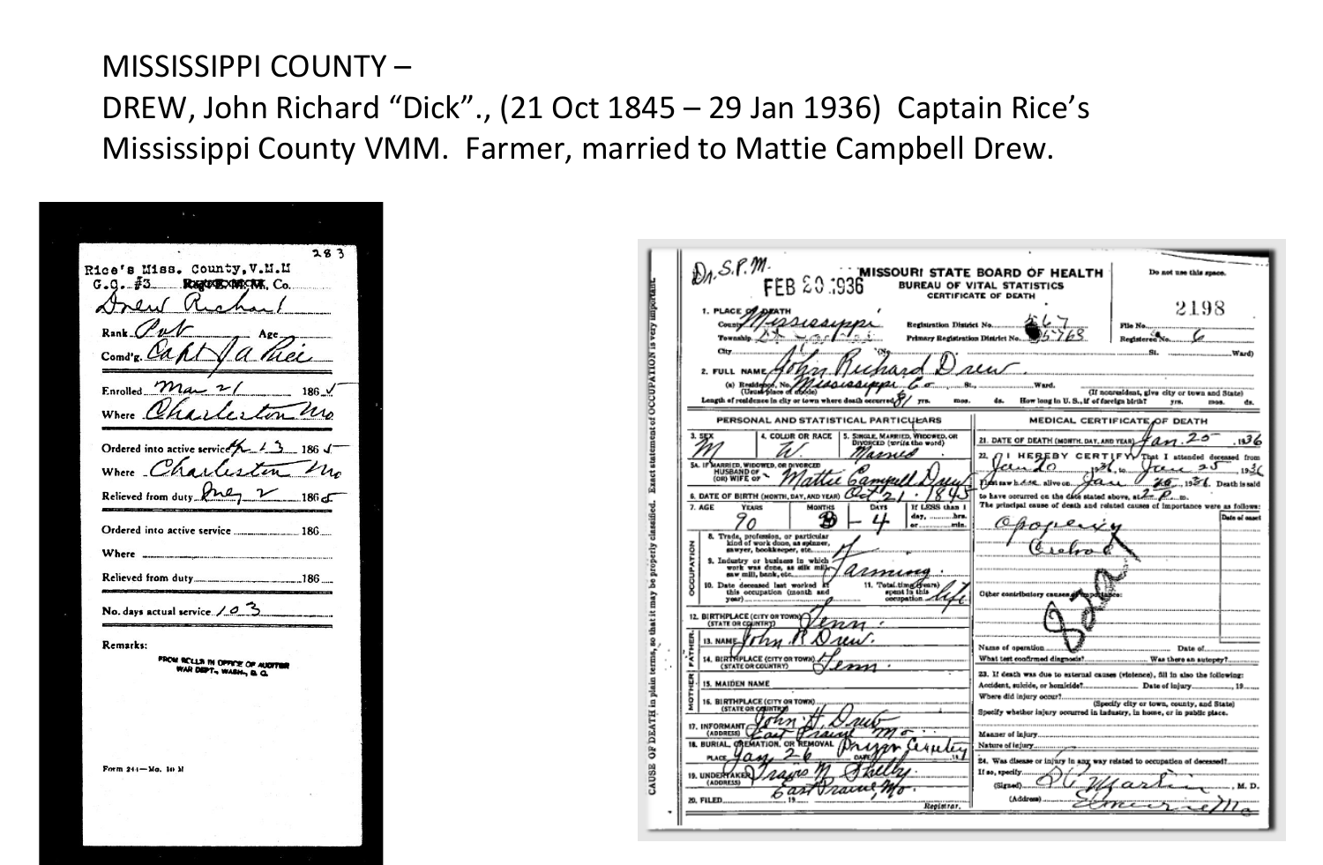## MISSISSIPPI COUNTY – DREW, John Richard "Dick"., (21 Oct 1845 – 29 Jan 1936) Captain Rice's Mississippi County VMM. Farmer, married to Mattie Campbell Drew.

 $283$ 's Miss. County, V.M.M Rice **Registration Co.** G Rank man 2 Enrolled.  $N_{41}$  $u_{\Lambda}$ Where Ordered into active service Where Charles Relieved from duty Aney Where ......... Relieved from duty........... No. days actual service.  $/ 0.3$ Remarks: **FROM RECLUB IN OPERAL OF AUGHT** AR DEPT., WASH., & Q. Form 244-Mo. 10 M

| $\mathcal{D}_A$ , S. P. M.<br>FEB 20.1936                                                                                                                                                                                                                                                                   | <b>MISSOURI STATE BOARD OF HEALTH</b><br>Do not use this space.<br><b>BUREAU OF VITAL STATISTICS</b><br>CERTIFICATE OF DEATH                  |
|-------------------------------------------------------------------------------------------------------------------------------------------------------------------------------------------------------------------------------------------------------------------------------------------------------------|-----------------------------------------------------------------------------------------------------------------------------------------------|
| 1. PLACE OF<br><b>Begistration District No.</b><br>County<br>Township.<br>Primary Registration District No.                                                                                                                                                                                                 | 2198<br>File No<br>Registeren No.                                                                                                             |
| <b>City</b><br>2. FULL NAME<br>(n) Residence, No.<br>Length of realdence in city or town where death occurred,<br>mos.                                                                                                                                                                                      | .sı.<br>wu<br>(If nonresident, give city or town and State)<br>How long in U.S., if of foreign birth?<br>dn.<br>yrs.<br>mos.<br>ds.           |
| PERSONAL AND STATISTICAL PARTICULARS                                                                                                                                                                                                                                                                        | MEDICAL CERTIFICATE OF DEATH                                                                                                                  |
| 5. SINGLE, MARRIED, WIDOWED, OR<br>3. SEX<br><b>4. COLUR OR RACE</b><br>DIVORCED (write the word)                                                                                                                                                                                                           | 56، .<br>21. DATE OF DEATH (MONTH, DAY, AND YEAR).                                                                                            |
| unu<br>SA. IF MARRIED, WIDOWED, OR DIVORCED<br><b>HUSBAND OF</b>                                                                                                                                                                                                                                            | 22.<br>HEREBY<br><b>CERTIE</b><br><b>That I</b><br>attended deceased from<br>7≵19<br>52. alivo on.<br>Death is said                           |
| 6. DATE OF BIRTH (MONTH, DAY, AND YEAR)<br>7. AGE<br><b>YEARS</b><br>If LESS than 1<br><b>MONTHS</b><br>DATS<br>В<br>or inth.                                                                                                                                                                               | to have occurred on the date stated above.<br>The principal cause of desth and related causes of importance were as follows:<br>Date of caset |
| 8. Trade, profession, or particular kind of work done, as spinner, sawyer, bookkeeper, etc<br>š<br>9. Industry or business in which $x$ work was done, as silk matter<br>armine<br>11. Total.timg.events)<br>10. Date deceased last worked if<br>spent in this<br>this occupation (month and<br>occupation. | Other contributory cannon,<br>m po                                                                                                            |
| <b>BIRTHPLACE (CITY OR T</b><br>(STATE OR COUNTRY)<br><b>ATHER</b><br><b>13. NAM</b><br>14. BIRTHPLACE (CITY OR TOWN                                                                                                                                                                                        | Name of operation.<br>Date of                                                                                                                 |
| (STATE OR COUNTRY)<br><b>15. MAIDEN NAME</b>                                                                                                                                                                                                                                                                | 23. If death was due to external causes (violence), fill in also the following:                                                               |
| 16. BIRTHPLACE (CITY OR TOWN)<br><b>(STATE OR COUNT</b><br>17. INFORMANT<br>(ADDRESS)                                                                                                                                                                                                                       | Specify whether injury occurred in industry, in home, or in public place.<br>Manner of injury                                                 |
| <b>18. BURIAL OR</b><br>MOVAL<br><b>EMATION</b><br><b>19. UNDERTAKE</b>                                                                                                                                                                                                                                     | Nature of lejury<br>24. Was disease or injury in any way related to occupation of deceased?<br>If so, specify                                 |
| (ADDRESS)<br>Registrar                                                                                                                                                                                                                                                                                      | (Signed)<br>(Address)                                                                                                                         |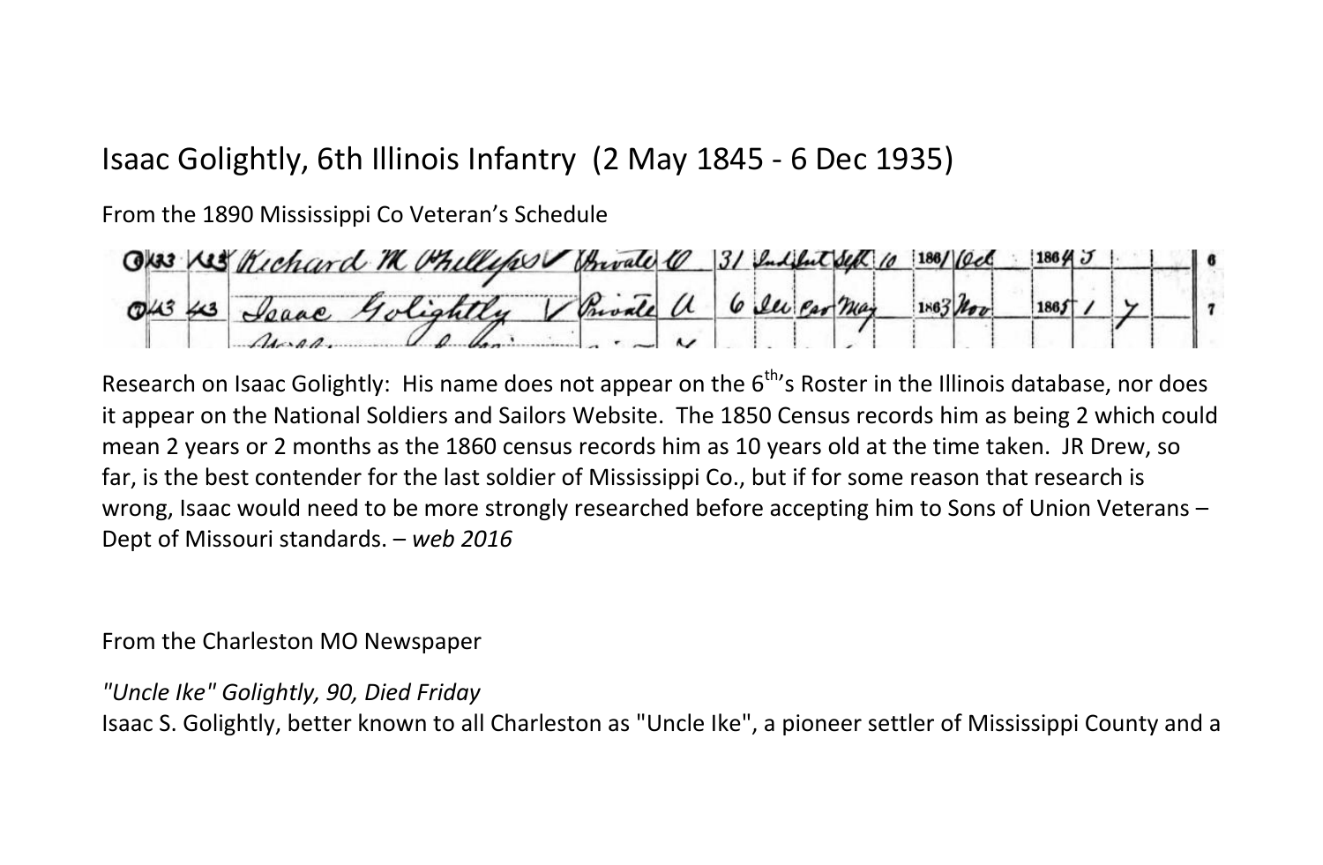## Isaac Golightly, 6th Illinois Infantry (2 May 1845 - 6 Dec 1935)

From the 1890 Mississippi Co Veteran's Schedule

 $186/$  (ed  $1864J$ Ok33 Kis Richard M Philly Spaac Golightly Private a 6 see car may  $1863$ lov  $T4343$ 1865

Research on Isaac Golightly: His name does not appear on the 6<sup>th</sup>'s Roster in the Illinois database, nor does it appear on the National Soldiers and Sailors Website. The 1850 Census records him as being 2 which could mean 2 years or 2 months as the 1860 census records him as 10 years old at the time taken. JR Drew, so far, is the best contender for the last soldier of Mississippi Co., but if for some reason that research is wrong, Isaac would need to be more strongly researched before accepting him to Sons of Union Veterans – Dept of Missouri standards. – *web 2016*

From the Charleston MO Newspaper

*"Uncle Ike" Golightly, 90, Died Friday*

Isaac S. Golightly, better known to all Charleston as "Uncle Ike", a pioneer settler of Mississippi County and a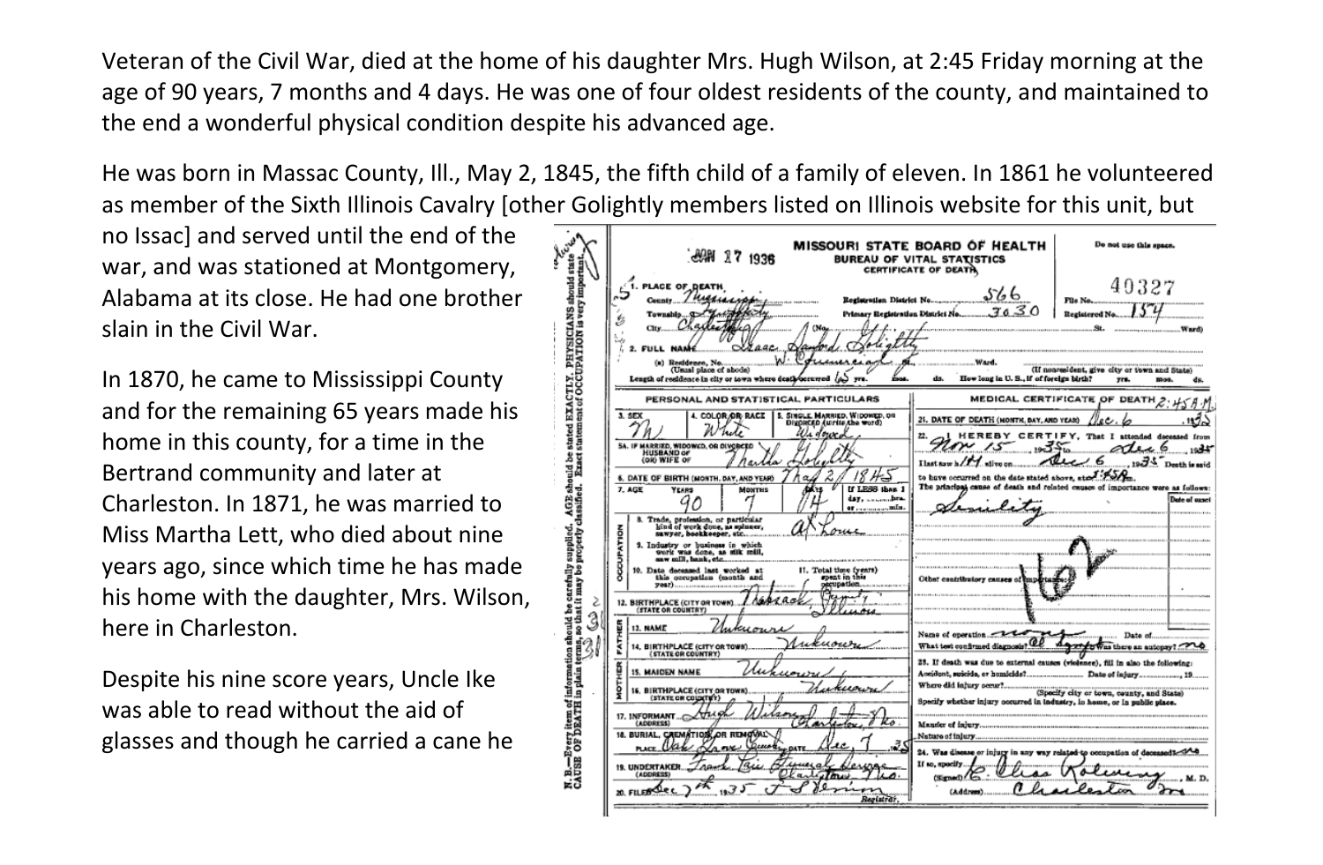Veteran of the Civil War, died at the home of his daughter Mrs. Hugh Wilson, at 2:45 Friday morning at the age of 90 years, 7 months and 4 days. He was one of four oldest residents of the county, and maintained to the end a wonderful physical condition despite his advanced age.

He was born in Massac County, Ill., May 2, 1845, the fifth child of a family of eleven. In 1861 he volunteered as member of the Sixth Illinois Cavalry [other Golightly members listed on Illinois website for this unit, but

no Issac] and served until the end of the war, and was stationed at Montgomery, Alabama at its close. He had one brother slain in the Civil War.

In 1870, he came to Mississippi County and for the remaining 65 years made his home in this county, for a time in the Bertrand community and later at Charleston. In 1871, he was married to Miss Martha Lett, who died about nine years ago, since which time he has made his home with the daughter, Mrs. Wilson, here in Charleston.

Despite his nine score years, Uncle Ike was able to read without the aid of glasses and though he carried a cane he